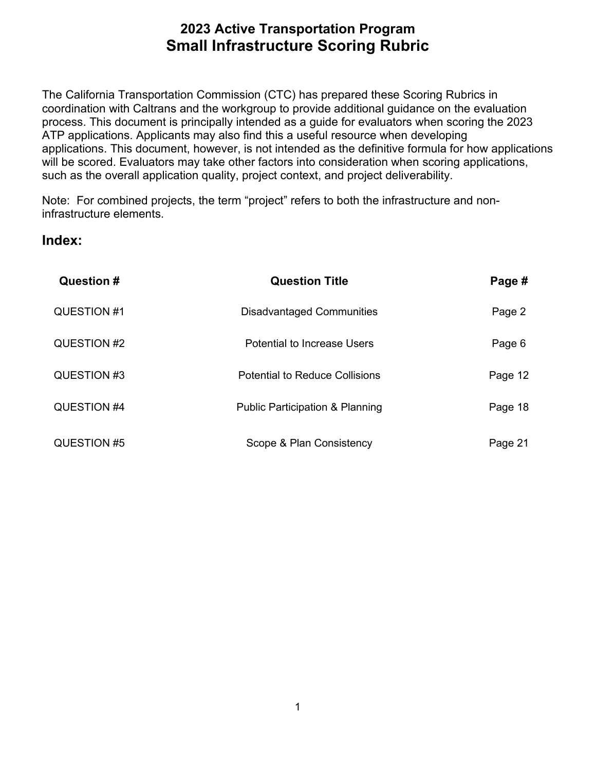coordination with Caltrans and the workgroup to provide additional guidance on the evaluation process. This document is principally intended as a guide for evaluators when scoring the 2023 such as the overall application quality, project context, and project deliverability. The California Transportation Commission (CTC) has prepared these Scoring Rubrics in ATP applications. Applicants may also find this a useful resource when developing applications. This document, however, is not intended as the definitive formula for how applications will be scored. Evaluators may take other factors into consideration when scoring applications,

Note: For combined projects, the term "project" refers to both the infrastructure and noninfrastructure elements.

### **Index:**

| Question #  | <b>Question Title</b>                      | Page #  |
|-------------|--------------------------------------------|---------|
| QUESTION #1 | <b>Disadvantaged Communities</b>           | Page 2  |
| QUESTION #2 | <b>Potential to Increase Users</b>         | Page 6  |
| QUESTION #3 | Potential to Reduce Collisions             | Page 12 |
| QUESTION #4 | <b>Public Participation &amp; Planning</b> | Page 18 |
| QUESTION #5 | Scope & Plan Consistency                   | Page 21 |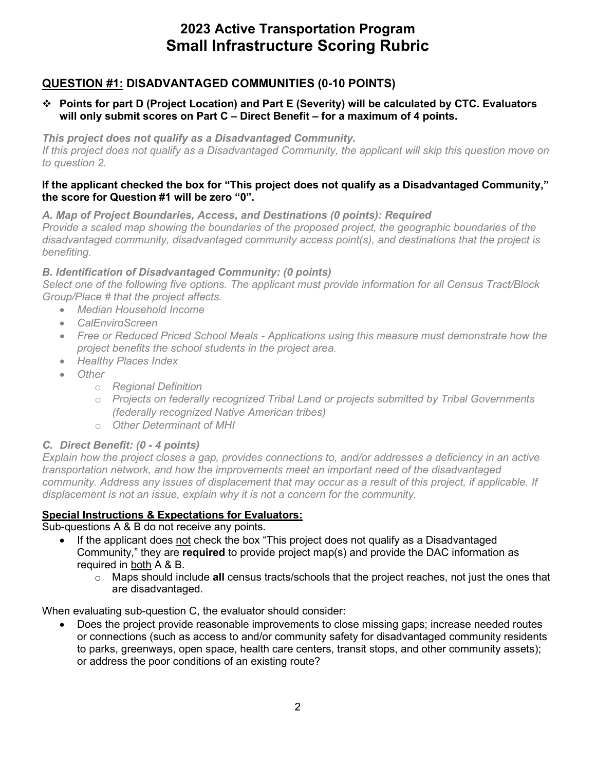### **QUESTION #1: DISADVANTAGED COMMUNITIES (0-10 POINTS)**

#### **Points for part D (Project Location) and Part E (Severity) will be calculated by CTC. Evaluators will only submit scores on Part C – Direct Benefit – for a maximum of 4 points.**

*This project does not qualify as a Disadvantaged Community.* 

*If this project does not qualify as a Disadvantaged Community, the applicant will skip this question move on to question 2.* 

#### **the score for Question #1 will be zero "0". If the applicant checked the box for "This project does not qualify as a Disadvantaged Community,"**

*A. Map of Project Boundaries, Access, and Destinations (0 points): Required* 

 *Provide a scaled map showing the boundaries of the proposed project, the geographic boundaries of the disadvantaged community, disadvantaged community access point(s), and destinations that the project is benefiting.* 

#### *B. Identification of Disadvantaged Community: (0 points)*

*Select one of the following five options. The applicant must provide information for all Census Tract/Block Group/Place # that the project affects.* 

- *Median Household Income*
- *CalEnviroScreen*
- *Free or Reduced Priced School Meals - Applications using this measure must demonstrate how the project benefits the school students in the project area.*
- *Healthy Places Index*
- *Other* 
	- o *Regional Definition*
	- o *Projects on federally recognized Tribal Land or projects submitted by Tribal Governments (federally recognized Native American tribes)*
	- o *Other Determinant of MHI*

### *C. Direct Benefit: (0 - 4 points)*

 *Explain how the project closes a gap, provides connections to, and/or addresses a deficiency in an active community. Address any issues of displacement that may occur as a result of this project, if applicable. If transportation network, and how the improvements meet an important need of the disadvantaged displacement is not an issue, explain why it is not a concern for the community.* 

### **Special Instructions & Expectations for Evaluators:**

Sub-questions A & B do not receive any points.

- If the applicant does not check the box "This project does not qualify as a Disadvantaged Community," they are **required** to provide project map(s) and provide the DAC information as required in both A & B.
	- o Maps should include **all** census tracts/schools that the project reaches, not just the ones that are disadvantaged.

When evaluating sub-question C, the evaluator should consider:

• Does the project provide reasonable improvements to close missing gaps; increase needed routes or connections (such as access to and/or community safety for disadvantaged community residents to parks, greenways, open space, health care centers, transit stops, and other community assets); or address the poor conditions of an existing route?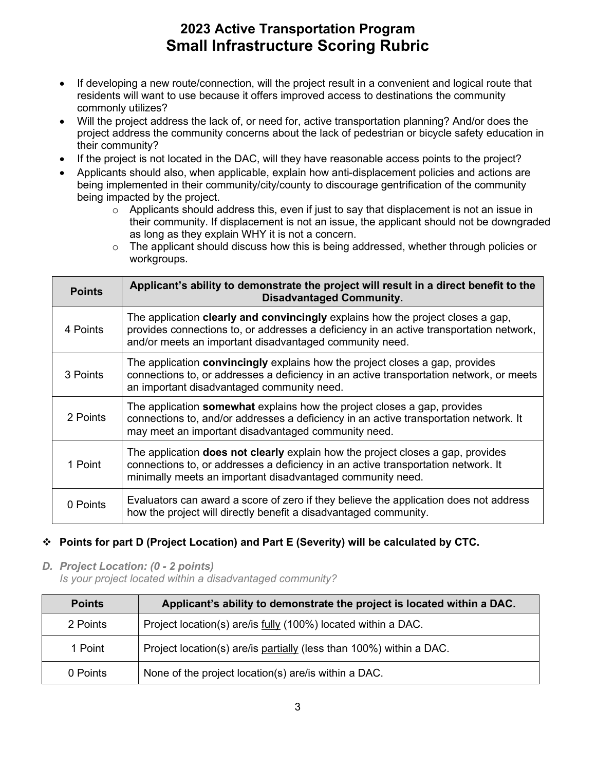- residents will want to use because it offers improved access to destinations the community commonly utilizes? • If developing a new route/connection, will the project result in a convenient and logical route that
- Will the project address the lack of, or need for, active transportation planning? And/or does the project address the community concerns about the lack of pedestrian or bicycle safety education in their community?
- If the project is not located in the DAC, will they have reasonable access points to the project?
- Applicants should also, when applicable, explain how anti-displacement policies and actions are being implemented in their community/city/county to discourage gentrification of the community being impacted by the project.
	- their community. If displacement is not an issue, the applicant should not be downgraded o Applicants should address this, even if just to say that displacement is not an issue in as long as they explain WHY it is not a concern.
	- $\circ$  The applicant should discuss how this is being addressed, whether through policies or workgroups.

| <b>Points</b> | Applicant's ability to demonstrate the project will result in a direct benefit to the<br><b>Disadvantaged Community.</b>                                                                                                                     |
|---------------|----------------------------------------------------------------------------------------------------------------------------------------------------------------------------------------------------------------------------------------------|
| 4 Points      | The application <b>clearly and convincingly</b> explains how the project closes a gap,<br>provides connections to, or addresses a deficiency in an active transportation network,<br>and/or meets an important disadvantaged community need. |
| 3 Points      | The application <b>convincingly</b> explains how the project closes a gap, provides<br>connections to, or addresses a deficiency in an active transportation network, or meets<br>an important disadvantaged community need.                 |
| 2 Points      | The application <b>somewhat</b> explains how the project closes a gap, provides<br>connections to, and/or addresses a deficiency in an active transportation network. It<br>may meet an important disadvantaged community need.              |
| 1 Point       | The application <b>does not clearly</b> explain how the project closes a gap, provides<br>connections to, or addresses a deficiency in an active transportation network. It<br>minimally meets an important disadvantaged community need.    |
| 0 Points      | Evaluators can award a score of zero if they believe the application does not address<br>how the project will directly benefit a disadvantaged community.                                                                                    |

### **Points for part D (Project Location) and Part E (Severity) will be calculated by CTC.**

 *D. Project Location: (0 - 2 points)* 

*Is your project located within a disadvantaged community?* 

| <b>Points</b> | Applicant's ability to demonstrate the project is located within a DAC. |
|---------------|-------------------------------------------------------------------------|
| 2 Points      | Project location(s) are/is fully (100%) located within a DAC.           |
| 1 Point       | Project location(s) are/is partially (less than 100%) within a DAC.     |
| 0 Points      | None of the project location(s) are/is within a DAC.                    |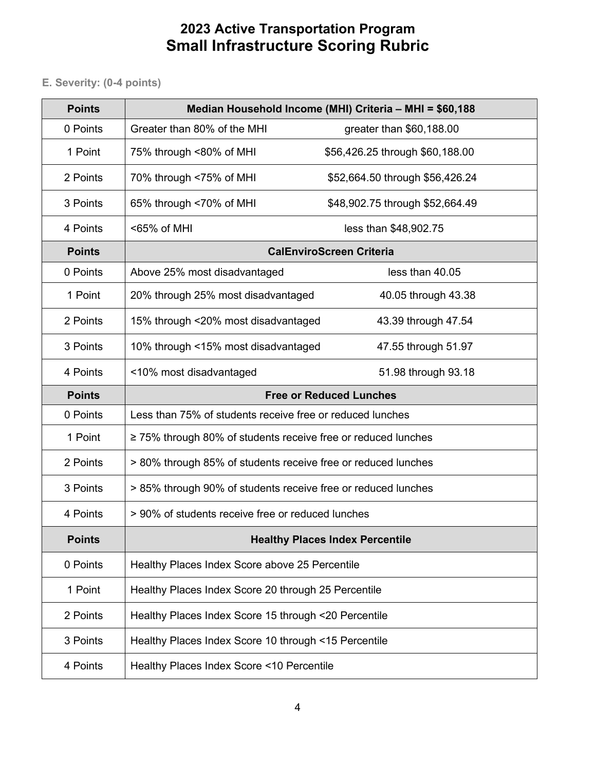**E. Severity: (0-4 points)** 

| <b>Points</b> |                                                                    | Median Household Income (MHI) Criteria - MHI = \$60,188 |
|---------------|--------------------------------------------------------------------|---------------------------------------------------------|
| 0 Points      | Greater than 80% of the MHI                                        | greater than \$60,188.00                                |
| 1 Point       | 75% through <80% of MHI                                            | \$56,426.25 through \$60,188.00                         |
| 2 Points      | 70% through <75% of MHI                                            | \$52,664.50 through \$56,426.24                         |
| 3 Points      | 65% through <70% of MHI                                            | \$48,902.75 through \$52,664.49                         |
| 4 Points      | <65% of MHI                                                        | less than \$48,902.75                                   |
| <b>Points</b> |                                                                    | <b>CalEnviroScreen Criteria</b>                         |
| 0 Points      | Above 25% most disadvantaged                                       | less than 40.05                                         |
| 1 Point       | 20% through 25% most disadvantaged                                 | 40.05 through 43.38                                     |
| 2 Points      | 15% through <20% most disadvantaged                                | 43.39 through 47.54                                     |
| 3 Points      | 10% through <15% most disadvantaged                                | 47.55 through 51.97                                     |
| 4 Points      | <10% most disadvantaged                                            | 51.98 through 93.18                                     |
| <b>Points</b> |                                                                    | <b>Free or Reduced Lunches</b>                          |
| 0 Points      | Less than 75% of students receive free or reduced lunches          |                                                         |
| 1 Point       | $\geq$ 75% through 80% of students receive free or reduced lunches |                                                         |
| 2 Points      | > 80% through 85% of students receive free or reduced lunches      |                                                         |
| 3 Points      | > 85% through 90% of students receive free or reduced lunches      |                                                         |
| 4 Points      | > 90% of students receive free or reduced lunches                  |                                                         |
| <b>Points</b> |                                                                    | <b>Healthy Places Index Percentile</b>                  |
| 0 Points      | Healthy Places Index Score above 25 Percentile                     |                                                         |
| 1 Point       | Healthy Places Index Score 20 through 25 Percentile                |                                                         |
| 2 Points      | Healthy Places Index Score 15 through <20 Percentile               |                                                         |
| 3 Points      | Healthy Places Index Score 10 through <15 Percentile               |                                                         |
| 4 Points      | Healthy Places Index Score <10 Percentile                          |                                                         |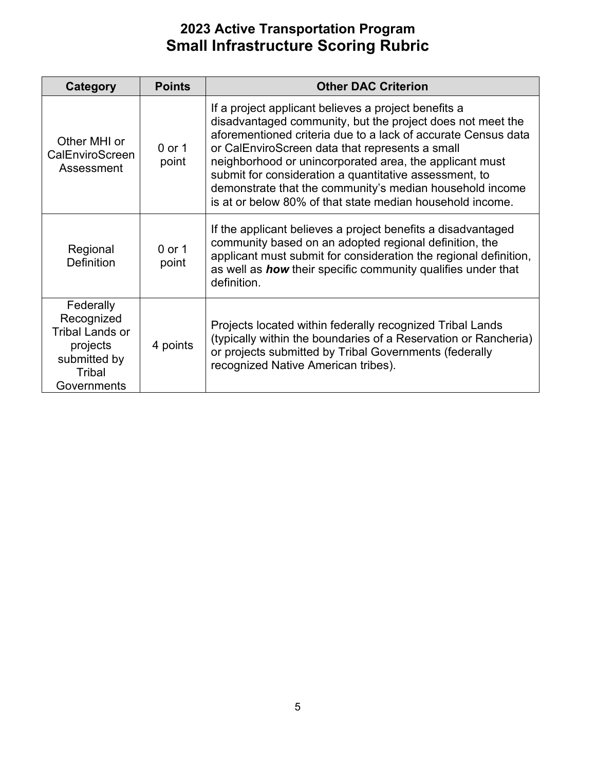| <b>Category</b>                                                                                        | <b>Points</b>     | <b>Other DAC Criterion</b>                                                                                                                                                                                                                                                                                                                                                                                                                                                           |
|--------------------------------------------------------------------------------------------------------|-------------------|--------------------------------------------------------------------------------------------------------------------------------------------------------------------------------------------------------------------------------------------------------------------------------------------------------------------------------------------------------------------------------------------------------------------------------------------------------------------------------------|
| Other MHI or<br>CalEnviroScreen<br>Assessment                                                          | $0$ or 1<br>point | If a project applicant believes a project benefits a<br>disadvantaged community, but the project does not meet the<br>aforementioned criteria due to a lack of accurate Census data<br>or CalEnviroScreen data that represents a small<br>neighborhood or unincorporated area, the applicant must<br>submit for consideration a quantitative assessment, to<br>demonstrate that the community's median household income<br>is at or below 80% of that state median household income. |
| Regional<br><b>Definition</b>                                                                          | $0$ or 1<br>point | If the applicant believes a project benefits a disadvantaged<br>community based on an adopted regional definition, the<br>applicant must submit for consideration the regional definition,<br>as well as <b>how</b> their specific community qualifies under that<br>definition.                                                                                                                                                                                                     |
| Federally<br>Recognized<br><b>Tribal Lands or</b><br>projects<br>submitted by<br>Tribal<br>Governments | 4 points          | Projects located within federally recognized Tribal Lands<br>(typically within the boundaries of a Reservation or Rancheria)<br>or projects submitted by Tribal Governments (federally<br>recognized Native American tribes).                                                                                                                                                                                                                                                        |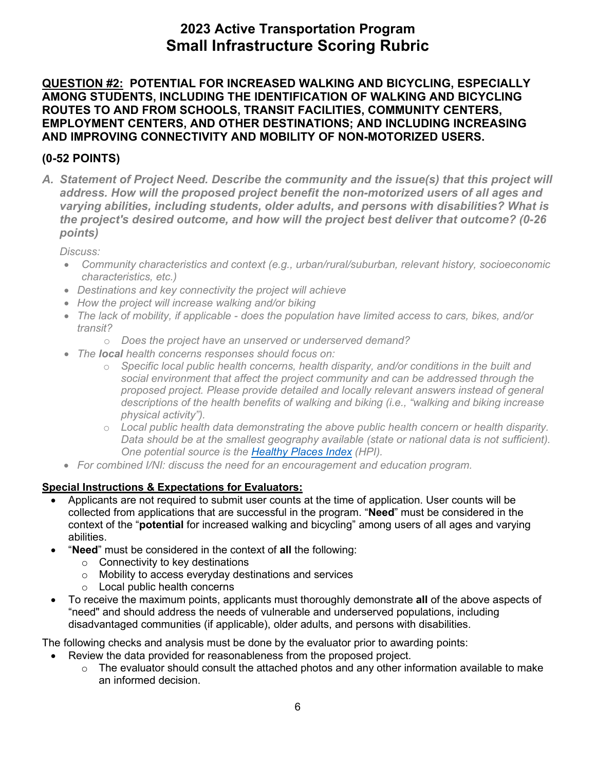**QUESTION #2: POTENTIAL FOR INCREASED WALKING AND BICYCLING, ESPECIALLY AMONG STUDENTS, INCLUDING THE IDENTIFICATION OF WALKING AND BICYCLING ROUTES TO AND FROM SCHOOLS, TRANSIT FACILITIES, COMMUNITY CENTERS, EMPLOYMENT CENTERS, AND OTHER DESTINATIONS; AND INCLUDING INCREASING AND IMPROVING CONNECTIVITY AND MOBILITY OF NON-MOTORIZED USERS.** 

### **(0-52 POINTS)**

*A. Statement of Project Need. Describe the community and the issue(s) that this project will address. How will the proposed project benefit the non-motorized users of all ages and varying abilities, including students, older adults, and persons with disabilities? What is the project's desired outcome, and how will the project best deliver that outcome? (0-26 points)* 

 *Discuss:* 

- *Community characteristics and context (e.g., urban/rural/suburban, relevant history, socioeconomic characteristics, etc.)*
- *Destinations and key connectivity the project will achieve*
- *How the project will increase walking and/or biking*
- The lack of mobility, if applicable does the population have limited access to cars, bikes, and/or *transit?* 
	- o *Does the project have an unserved or underserved demand?*
- *The local health concerns responses should focus on:* 
	- *social environment that affect the project community and can be addressed through the*  o *Specific local public health concerns, health disparity, and/or conditions in the built and proposed project. Please provide detailed and locally relevant answers instead of general descriptions of the health benefits of walking and biking (i.e., "walking and biking increase physical activity").*
	- *One potential source is the [Healthy Places Index](http://healthyplacesindex.org/) (HPI).*  o *Local public health data demonstrating the above public health concern or health disparity. Data should be at the smallest geography available (state or national data is not sufficient).*
- *For combined I/NI: discuss the need for an encouragement and education program.*

### **Special Instructions & Expectations for Evaluators:**

- Applicants are not required to submit user counts at the time of application. User counts will be collected from applications that are successful in the program. "**Need**" must be considered in the context of the "**potential** for increased walking and bicycling" among users of all ages and varying abilities.
- • "**Need**" must be considered in the context of **all** the following:
	- o Connectivity to key destinations
	- o Mobility to access everyday destinations and services
	- $\circ$  Local public health concerns
- To receive the maximum points, applicants must thoroughly demonstrate **all** of the above aspects of "need" and should address the needs of vulnerable and underserved populations, including disadvantaged communities (if applicable), older adults, and persons with disabilities.

- • Review the data provided for reasonableness from the proposed project.
	- an informed decision.  $\circ$  The evaluator should consult the attached photos and any other information available to make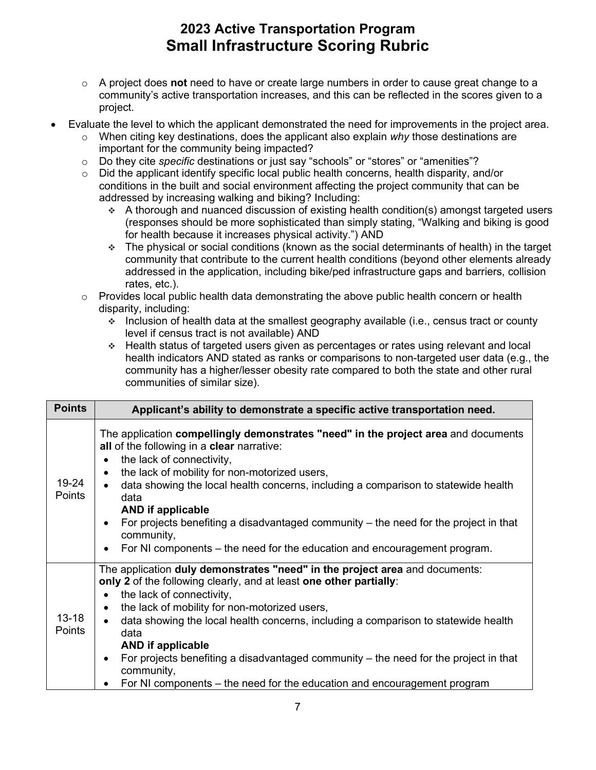- o A project does **not** need to have or create large numbers in order to cause great change to a community's active transportation increases, and this can be reflected in the scores given to a project.
- Evaluate the level to which the applicant demonstrated the need for improvements in the project area.
	- o When citing key destinations, does the applicant also explain *why* those destinations are important for the community being impacted?
	- o Do they cite *specific* destinations or just say "schools" or "stores" or "amenities"?
	- conditions in the built and social environment affecting the project community that can be  $\circ$  Did the applicant identify specific local public health concerns, health disparity, and/or addressed by increasing walking and biking? Including:
		- for health because it increases physical activity.") AND  $\triangle$  A thorough and nuanced discussion of existing health condition(s) amongst targeted users (responses should be more sophisticated than simply stating, "Walking and biking is good
		- $\div$  The physical or social conditions (known as the social determinants of health) in the target community that contribute to the current health conditions (beyond other elements already addressed in the application, including bike/ped infrastructure gaps and barriers, collision rates, etc.).
	- $\circ$  Provides local public health data demonstrating the above public health concern or health disparity, including:
		- Inclusion of health data at the smallest geography available (i.e., census tract or county level if census tract is not available) AND
		- community has a higher/lesser obesity rate compared to both the state and other rural communities of similar size). Health status of targeted users given as percentages or rates using relevant and local health indicators AND stated as ranks or comparisons to non-targeted user data (e.g., the

| <b>Points</b>              | Applicant's ability to demonstrate a specific active transportation need.                                                                                                                                                                                                                                                                                                                                                                                                                                                                                     |
|----------------------------|---------------------------------------------------------------------------------------------------------------------------------------------------------------------------------------------------------------------------------------------------------------------------------------------------------------------------------------------------------------------------------------------------------------------------------------------------------------------------------------------------------------------------------------------------------------|
| 19-24<br>Points            | The application <b>compellingly demonstrates "need" in the project area</b> and documents<br>all of the following in a clear narrative:<br>the lack of connectivity,<br>the lack of mobility for non-motorized users,<br>$\bullet$<br>data showing the local health concerns, including a comparison to statewide health<br>data<br><b>AND if applicable</b><br>For projects benefiting a disadvantaged community – the need for the project in that<br>community,<br>For NI components – the need for the education and encouragement program.               |
| $13 - 18$<br><b>Points</b> | The application duly demonstrates "need" in the project area and documents:<br>only 2 of the following clearly, and at least one other partially:<br>the lack of connectivity,<br>٠<br>the lack of mobility for non-motorized users,<br>data showing the local health concerns, including a comparison to statewide health<br>$\bullet$<br>data<br><b>AND if applicable</b><br>For projects benefiting a disadvantaged community – the need for the project in that<br>community,<br>For NI components – the need for the education and encouragement program |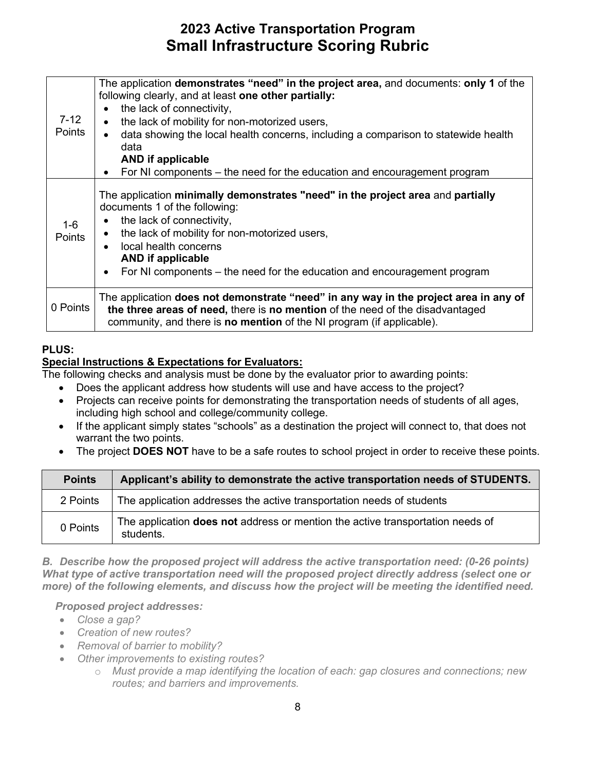| $7 - 12$<br>Points     | The application demonstrates "need" in the project area, and documents: only 1 of the<br>following clearly, and at least one other partially:<br>the lack of connectivity,<br>$\bullet$<br>the lack of mobility for non-motorized users,<br>$\bullet$<br>data showing the local health concerns, including a comparison to statewide health<br>$\bullet$<br>data<br><b>AND</b> if applicable<br>For NI components – the need for the education and encouragement program<br>٠ |
|------------------------|-------------------------------------------------------------------------------------------------------------------------------------------------------------------------------------------------------------------------------------------------------------------------------------------------------------------------------------------------------------------------------------------------------------------------------------------------------------------------------|
| $1-6$<br><b>Points</b> | The application minimally demonstrates "need" in the project area and partially<br>documents 1 of the following:<br>the lack of connectivity,<br>٠<br>the lack of mobility for non-motorized users,<br>٠<br>local health concerns<br>$\bullet$<br><b>AND</b> if applicable<br>For NI components – the need for the education and encouragement program<br>$\bullet$                                                                                                           |
| 0 Points               | The application does not demonstrate "need" in any way in the project area in any of<br>the three areas of need, there is no mention of the need of the disadvantaged<br>community, and there is <b>no mention</b> of the NI program (if applicable).                                                                                                                                                                                                                         |

#### **PLUS:**

#### **Special Instructions & Expectations for Evaluators:**

The following checks and analysis must be done by the evaluator prior to awarding points:

- Does the applicant address how students will use and have access to the project?
- Projects can receive points for demonstrating the transportation needs of students of all ages, including high school and college/community college.
- • If the applicant simply states "schools" as a destination the project will connect to, that does not warrant the two points.
- The project **DOES NOT** have to be a safe routes to school project in order to receive these points.

| <b>Points</b> | Applicant's ability to demonstrate the active transportation needs of STUDENTS.                    |
|---------------|----------------------------------------------------------------------------------------------------|
| 2 Points      | The application addresses the active transportation needs of students                              |
| 0 Points      | The application <b>does not</b> address or mention the active transportation needs of<br>students. |

 *more) of the following elements, and discuss how the project will be meeting the identified need. B. Describe how the proposed project will address the active transportation need: (0-26 points) What type of active transportation need will the proposed project directly address (select one or* 

#### *Proposed project addresses:*

- *Close a gap?*
- *Creation of new routes?*
- *Removal of barrier to mobility?*
- *Other improvements to existing routes?* 
	- $\circ$  Must provide a map identifying the location of each: gap closures and connections; new *routes; and barriers and improvements.*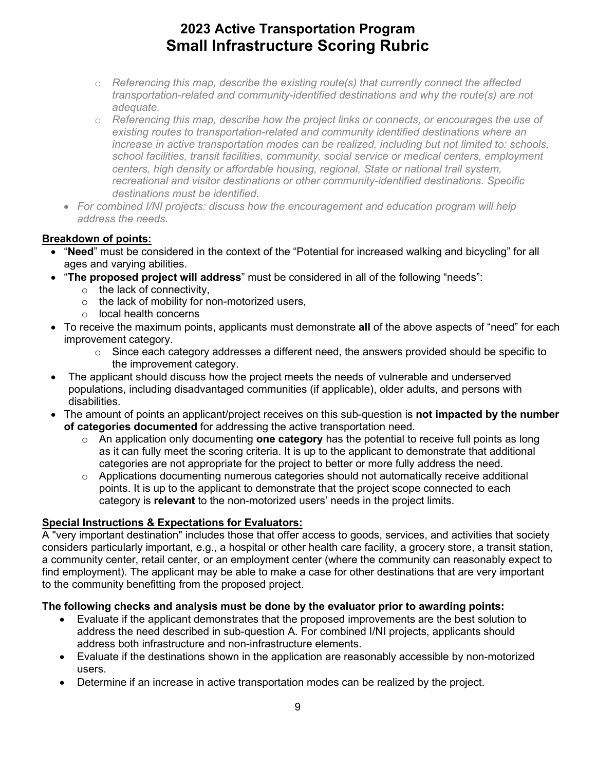- o *Referencing this map, describe the existing route(s) that currently connect the affected transportation-related and community-identified destinations and why the route(s) are not adequate.*
- $\circ$  *Referencing this map, describe how the project links or connects, or encourages the use of existing routes to transportation-related and community identified destinations where an increase in active transportation modes can be realized, including but not limited to: schools, school facilities, transit facilities, community, social service or medical centers, employment centers, high density or affordable housing, regional, State or national trail system, recreational and visitor destinations or other community-identified destinations. Specific destinations must be identified.*
- For combined I/NI projects: discuss how the encouragement and education program will help *address the needs.*

#### **Breakdown of points:**

- "**Need**" must be considered in the context of the "Potential for increased walking and bicycling" for all ages and varying abilities.
- "**The proposed project will address**" must be considered in all of the following "needs":
	- $\circ$  the lack of connectivity,
	- o the lack of mobility for non-motorized users,
	- o local health concerns
- • To receive the maximum points, applicants must demonstrate **all** of the above aspects of "need" for each improvement category.
	- the improvement category.  $\circ$  Since each category addresses a different need, the answers provided should be specific to
- The applicant should discuss how the project meets the needs of vulnerable and underserved populations, including disadvantaged communities (if applicable), older adults, and persons with disabilities.
- The amount of points an applicant/project receives on this sub-question is **not impacted by the number of categories documented** for addressing the active transportation need.
	- o An application only documenting **one category** has the potential to receive full points as long as it can fully meet the scoring criteria. It is up to the applicant to demonstrate that additional categories are not appropriate for the project to better or more fully address the need.
	- o Applications documenting numerous categories should not automatically receive additional points. It is up to the applicant to demonstrate that the project scope connected to each category is **relevant** to the non-motorized users' needs in the project limits.

### **Special Instructions & Expectations for Evaluators:**

 A "very important destination" includes those that offer access to goods, services, and activities that society considers particularly important, e.g., a hospital or other health care facility, a grocery store, a transit station, a community center, retail center, or an employment center (where the community can reasonably expect to find employment). The applicant may be able to make a case for other destinations that are very important to the community benefitting from the proposed project.

- • Evaluate if the applicant demonstrates that the proposed improvements are the best solution to address the need described in sub-question A. For combined I/NI projects, applicants should address both infrastructure and non-infrastructure elements.
- Evaluate if the destinations shown in the application are reasonably accessible by non-motorized users.
- Determine if an increase in active transportation modes can be realized by the project.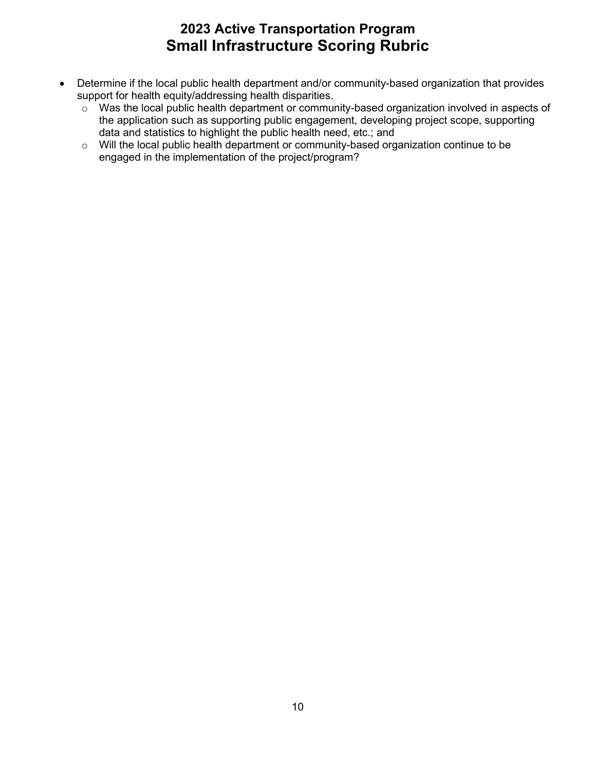- Determine if the local public health department and/or community-based organization that provides support for health equity/addressing health disparities.
	- $\circ$  Was the local public health department or community-based organization involved in aspects of data and statistics to highlight the public health need, etc.; and the application such as supporting public engagement, developing project scope, supporting
	- o Will the local public health department or community-based organization continue to be engaged in the implementation of the project/program?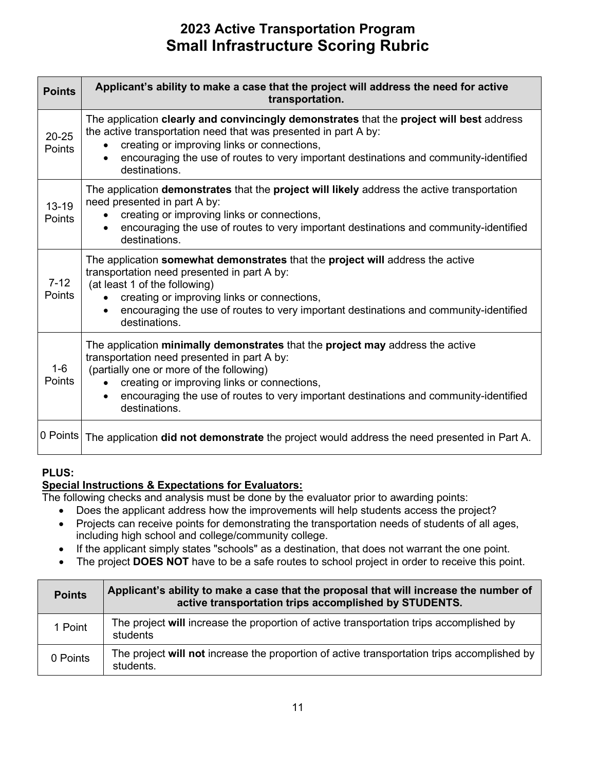| <b>Points</b>              | Applicant's ability to make a case that the project will address the need for active<br>transportation.                                                                                                                                                                                                                                         |
|----------------------------|-------------------------------------------------------------------------------------------------------------------------------------------------------------------------------------------------------------------------------------------------------------------------------------------------------------------------------------------------|
| $20 - 25$<br><b>Points</b> | The application clearly and convincingly demonstrates that the project will best address<br>the active transportation need that was presented in part A by:<br>creating or improving links or connections,<br>encouraging the use of routes to very important destinations and community-identified<br>destinations.                            |
| $13 - 19$<br><b>Points</b> | The application demonstrates that the project will likely address the active transportation<br>need presented in part A by:<br>creating or improving links or connections,<br>encouraging the use of routes to very important destinations and community-identified<br>destinations.                                                            |
| $7 - 12$<br>Points         | The application somewhat demonstrates that the project will address the active<br>transportation need presented in part A by:<br>(at least 1 of the following)<br>creating or improving links or connections,<br>encouraging the use of routes to very important destinations and community-identified<br>destinations.                         |
| $1-6$<br>Points            | The application minimally demonstrates that the project may address the active<br>transportation need presented in part A by:<br>(partially one or more of the following)<br>creating or improving links or connections,<br>encouraging the use of routes to very important destinations and community-identified<br>$\bullet$<br>destinations. |
| 0 Points                   | The application did not demonstrate the project would address the need presented in Part A.                                                                                                                                                                                                                                                     |

### **PLUS:**

### **Special Instructions & Expectations for Evaluators:**

- Does the applicant address how the improvements will help students access the project?
- Projects can receive points for demonstrating the transportation needs of students of all ages, including high school and college/community college.
- If the applicant simply states "schools" as a destination, that does not warrant the one point.
- The project **DOES NOT** have to be a safe routes to school project in order to receive this point.

| <b>Points</b> | Applicant's ability to make a case that the proposal that will increase the number of<br>active transportation trips accomplished by STUDENTS. |
|---------------|------------------------------------------------------------------------------------------------------------------------------------------------|
| 1 Point       | The project will increase the proportion of active transportation trips accomplished by<br>students                                            |
| 0 Points      | The project will not increase the proportion of active transportation trips accomplished by<br>students.                                       |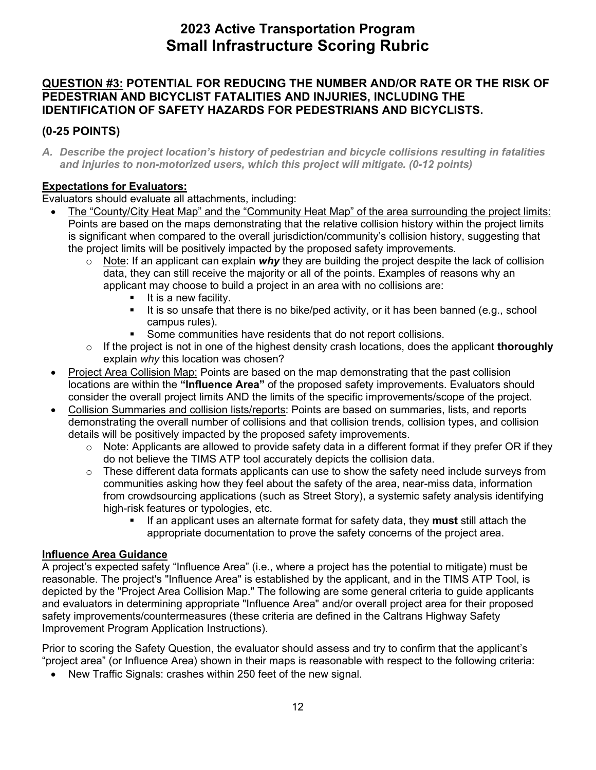### **QUESTION #3: POTENTIAL FOR REDUCING THE NUMBER AND/OR RATE OR THE RISK OF PEDESTRIAN AND BICYCLIST FATALITIES AND INJURIES, INCLUDING THE IDENTIFICATION OF SAFETY HAZARDS FOR PEDESTRIANS AND BICYCLISTS.**

### **(0-25 POINTS)**

 *A. Describe the project location's history of pedestrian and bicycle collisions resulting in fatalities and injuries to non-motorized users, which this project will mitigate. (0-12 points)* 

### **Expectations for Evaluators:**

Evaluators should evaluate all attachments, including:

- The "County/City Heat Map" and the "Community Heat Map" of the area surrounding the project limits: Points are based on the maps demonstrating that the relative collision history within the project limits is significant when compared to the overall jurisdiction/community's collision history, suggesting that the project limits will be positively impacted by the proposed safety improvements.
	- o Note: If an applicant can explain *why* they are building the project despite the lack of collision data, they can still receive the majority or all of the points. Examples of reasons why an applicant may choose to build a project in an area with no collisions are:
		- $\blacksquare$  It is a new facility.
		- It is so unsafe that there is no bike/ped activity, or it has been banned (e.g., school campus rules).
		- **Some communities have residents that do not report collisions.**
	- o If the project is not in one of the highest density crash locations, does the applicant **thoroughly**  explain *why* this location was chosen?
- Project Area Collision Map: Points are based on the map demonstrating that the past collision consider the overall project limits AND the limits of the specific improvements/scope of the project. locations are within the **"Influence Area"** of the proposed safety improvements. Evaluators should
- Collision Summaries and collision lists/reports: Points are based on summaries, lists, and reports demonstrating the overall number of collisions and that collision trends, collision types, and collision details will be positively impacted by the proposed safety improvements.
	- $\circ$   $\,$  <u>Note</u>: Applicants are allowed to provide safety data in a different format if they prefer OR if they do not believe the TIMS ATP tool accurately depicts the collision data.
	- $\circ$  These different data formats applicants can use to show the safety need include surveys from communities asking how they feel about the safety of the area, near-miss data, information high-risk features or typologies, etc. from crowdsourcing applications (such as Street Story), a systemic safety analysis identifying
		- If an applicant uses an alternate format for safety data, they **must** still attach the appropriate documentation to prove the safety concerns of the project area.

### **Influence Area Guidance**

 A project's expected safety "Influence Area" (i.e., where a project has the potential to mitigate) must be Improvement Program Application Instructions). reasonable. The project's "Influence Area" is established by the applicant, and in the TIMS ATP Tool, is depicted by the "Project Area Collision Map." The following are some general criteria to guide applicants and evaluators in determining appropriate "Influence Area" and/or overall project area for their proposed safety improvements/countermeasures (these criteria are defined in the Caltrans Highway Safety

Improvement Program Application Instructions).<br>Prior to scoring the Safety Question, the evaluator should assess and try to confirm that the applicant's "project area" (or Influence Area) shown in their maps is reasonable with respect to the following criteria:

• New Traffic Signals: crashes within 250 feet of the new signal.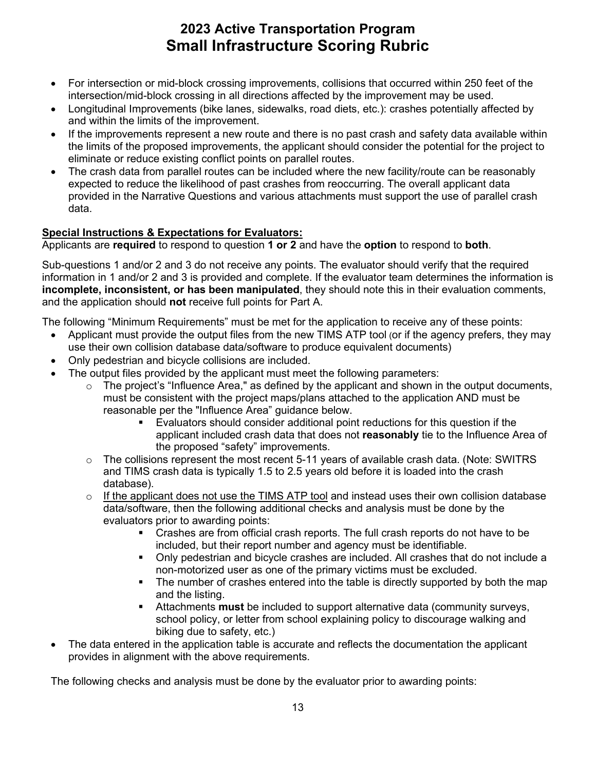- intersection/mid-block crossing in all directions affected by the improvement may be used. • For intersection or mid-block crossing improvements, collisions that occurred within 250 feet of the
- Longitudinal Improvements (bike lanes, sidewalks, road diets, etc.): crashes potentially affected by and within the limits of the improvement.
- eliminate or reduce existing conflict points on parallel routes. If the improvements represent a new route and there is no past crash and safety data available within the limits of the proposed improvements, the applicant should consider the potential for the project to
- expected to reduce the likelihood of past crashes from reoccurring. The overall applicant data • The crash data from parallel routes can be included where the new facility/route can be reasonably provided in the Narrative Questions and various attachments must support the use of parallel crash data.

### **Special Instructions & Expectations for Evaluators:**

Applicants are **required** to respond to question **1 or 2** and have the **option** to respond to **both**.

 **incomplete, inconsistent, or has been manipulated**, they should note this in their evaluation comments, Sub-questions 1 and/or 2 and 3 do not receive any points. The evaluator should verify that the required information in 1 and/or 2 and 3 is provided and complete. If the evaluator team determines the information is and the application should **not** receive full points for Part A.

The following "Minimum Requirements" must be met for the application to receive any of these points:

- Applicant must provide the output files from the new TIMS ATP tool (or if the agency prefers, they may use their own collision database data/software to produce equivalent documents)
- Only pedestrian and bicycle collisions are included.
- The output files provided by the applicant must meet the following parameters:
	- reasonable per the "Influence Area" guidance below. o The project's "Influence Area," as defined by the applicant and shown in the output documents, must be consistent with the project maps/plans attached to the application AND must be
		- the proposed "safety" improvements. Evaluators should consider additional point reductions for this question if the applicant included crash data that does not **reasonably** tie to the Influence Area of
	- $\circ$  The collisions represent the most recent 5-11 years of available crash data. (Note: SWITRS and TIMS crash data is typically 1.5 to 2.5 years old before it is loaded into the crash database).
	- $\circ$  If the applicant does not use the TIMS ATP tool and instead uses their own collision database data/software, then the following additional checks and analysis must be done by the evaluators prior to awarding points:
		- included, but their report number and agency must be identifiable. Crashes are from official crash reports. The full crash reports do not have to be
		- Only pedestrian and bicycle crashes are included. All crashes that do not include a non-motorized user as one of the primary victims must be excluded.
		- The number of crashes entered into the table is directly supported by both the map and the listing.
		- Attachments **must** be included to support alternative data (community surveys, school policy, or letter from school explaining policy to discourage walking and biking due to safety, etc.)
- The data entered in the application table is accurate and reflects the documentation the applicant provides in alignment with the above requirements.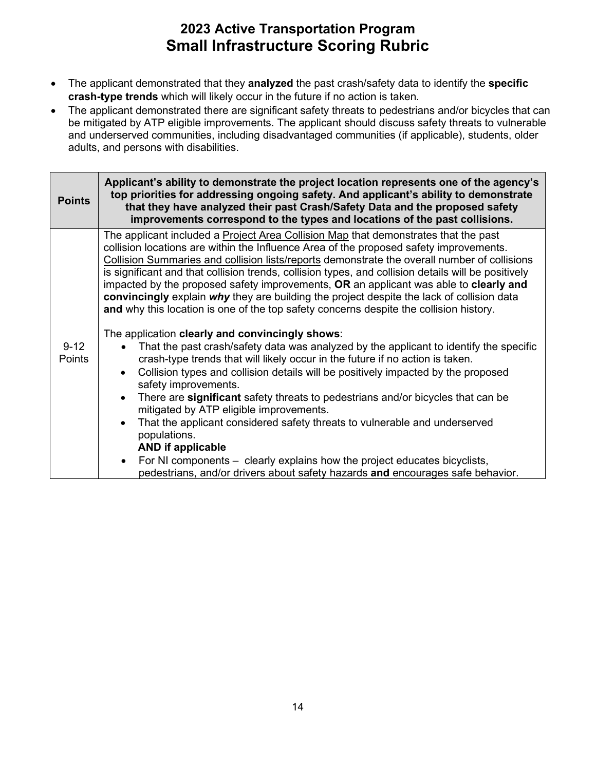- The applicant demonstrated that they **analyzed** the past crash/safety data to identify the **specific crash-type trends** which will likely occur in the future if no action is taken.
- adults, and persons with disabilities. • The applicant demonstrated there are significant safety threats to pedestrians and/or bicycles that can be mitigated by ATP eligible improvements. The applicant should discuss safety threats to vulnerable and underserved communities, including disadvantaged communities (if applicable), students, older

| <b>Points</b>      | Applicant's ability to demonstrate the project location represents one of the agency's<br>top priorities for addressing ongoing safety. And applicant's ability to demonstrate<br>that they have analyzed their past Crash/Safety Data and the proposed safety<br>improvements correspond to the types and locations of the past collisions.                                                                                                                                                                                                                                                                                                                                                                                                                                                                                                                                                                                                                                                                                                                                                                                                                                                                                                                                                                                                                                                                                           |
|--------------------|----------------------------------------------------------------------------------------------------------------------------------------------------------------------------------------------------------------------------------------------------------------------------------------------------------------------------------------------------------------------------------------------------------------------------------------------------------------------------------------------------------------------------------------------------------------------------------------------------------------------------------------------------------------------------------------------------------------------------------------------------------------------------------------------------------------------------------------------------------------------------------------------------------------------------------------------------------------------------------------------------------------------------------------------------------------------------------------------------------------------------------------------------------------------------------------------------------------------------------------------------------------------------------------------------------------------------------------------------------------------------------------------------------------------------------------|
| $9 - 12$<br>Points | The applicant included a Project Area Collision Map that demonstrates that the past<br>collision locations are within the Influence Area of the proposed safety improvements.<br>Collision Summaries and collision lists/reports demonstrate the overall number of collisions<br>is significant and that collision trends, collision types, and collision details will be positively<br>impacted by the proposed safety improvements, OR an applicant was able to clearly and<br>convincingly explain why they are building the project despite the lack of collision data<br>and why this location is one of the top safety concerns despite the collision history.<br>The application clearly and convincingly shows:<br>That the past crash/safety data was analyzed by the applicant to identify the specific<br>crash-type trends that will likely occur in the future if no action is taken.<br>Collision types and collision details will be positively impacted by the proposed<br>safety improvements.<br>There are significant safety threats to pedestrians and/or bicycles that can be<br>mitigated by ATP eligible improvements.<br>That the applicant considered safety threats to vulnerable and underserved<br>populations.<br><b>AND if applicable</b><br>For NI components – clearly explains how the project educates bicyclists,<br>pedestrians, and/or drivers about safety hazards and encourages safe behavior. |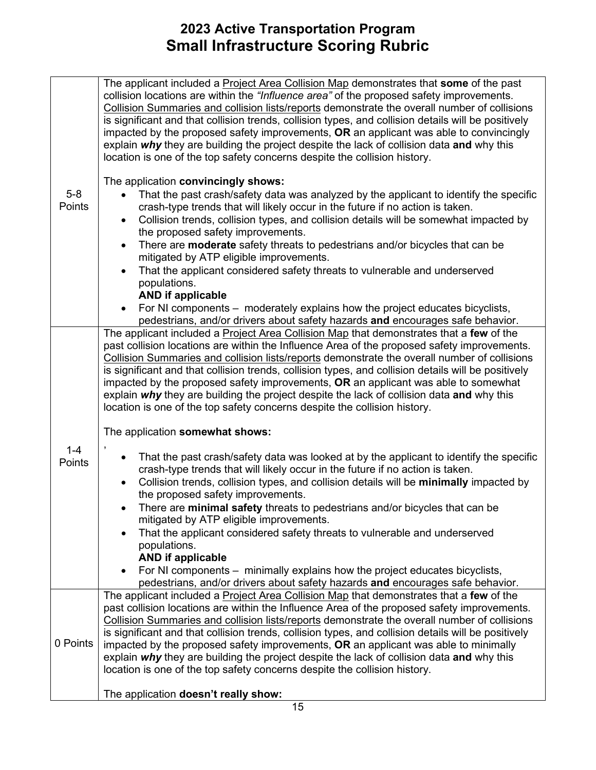|                   | The applicant included a Project Area Collision Map demonstrates that some of the past<br>collision locations are within the "Influence area" of the proposed safety improvements.<br>Collision Summaries and collision lists/reports demonstrate the overall number of collisions<br>is significant and that collision trends, collision types, and collision details will be positively<br>impacted by the proposed safety improvements, OR an applicant was able to convincingly<br>explain why they are building the project despite the lack of collision data and why this<br>location is one of the top safety concerns despite the collision history.                                                                                                                                  |
|-------------------|------------------------------------------------------------------------------------------------------------------------------------------------------------------------------------------------------------------------------------------------------------------------------------------------------------------------------------------------------------------------------------------------------------------------------------------------------------------------------------------------------------------------------------------------------------------------------------------------------------------------------------------------------------------------------------------------------------------------------------------------------------------------------------------------|
| $5-8$<br>Points   | The application convincingly shows:<br>That the past crash/safety data was analyzed by the applicant to identify the specific<br>crash-type trends that will likely occur in the future if no action is taken.<br>Collision trends, collision types, and collision details will be somewhat impacted by<br>the proposed safety improvements.<br>There are moderate safety threats to pedestrians and/or bicycles that can be<br>$\bullet$<br>mitigated by ATP eligible improvements.<br>That the applicant considered safety threats to vulnerable and underserved<br>$\bullet$<br>populations.<br><b>AND if applicable</b><br>For NI components – moderately explains how the project educates bicyclists,                                                                                    |
|                   | pedestrians, and/or drivers about safety hazards and encourages safe behavior.<br>The applicant included a Project Area Collision Map that demonstrates that a few of the<br>past collision locations are within the Influence Area of the proposed safety improvements.<br>Collision Summaries and collision lists/reports demonstrate the overall number of collisions<br>is significant and that collision trends, collision types, and collision details will be positively<br>impacted by the proposed safety improvements, OR an applicant was able to somewhat<br>explain why they are building the project despite the lack of collision data and why this<br>location is one of the top safety concerns despite the collision history.                                                |
| $1 - 4$<br>Points | The application somewhat shows:<br>,<br>That the past crash/safety data was looked at by the applicant to identify the specific<br>$\bullet$<br>crash-type trends that will likely occur in the future if no action is taken.<br>Collision trends, collision types, and collision details will be minimally impacted by<br>$\bullet$<br>the proposed safety improvements.<br>There are minimal safety threats to pedestrians and/or bicycles that can be<br>mitigated by ATP eligible improvements.<br>That the applicant considered safety threats to vulnerable and underserved<br>populations.<br><b>AND if applicable</b><br>For NI components – minimally explains how the project educates bicyclists,<br>pedestrians, and/or drivers about safety hazards and encourages safe behavior. |
| 0 Points          | The applicant included a Project Area Collision Map that demonstrates that a few of the<br>past collision locations are within the Influence Area of the proposed safety improvements.<br>Collision Summaries and collision lists/reports demonstrate the overall number of collisions<br>is significant and that collision trends, collision types, and collision details will be positively<br>impacted by the proposed safety improvements, OR an applicant was able to minimally<br>explain why they are building the project despite the lack of collision data and why this<br>location is one of the top safety concerns despite the collision history.<br>The application doesn't really show:                                                                                         |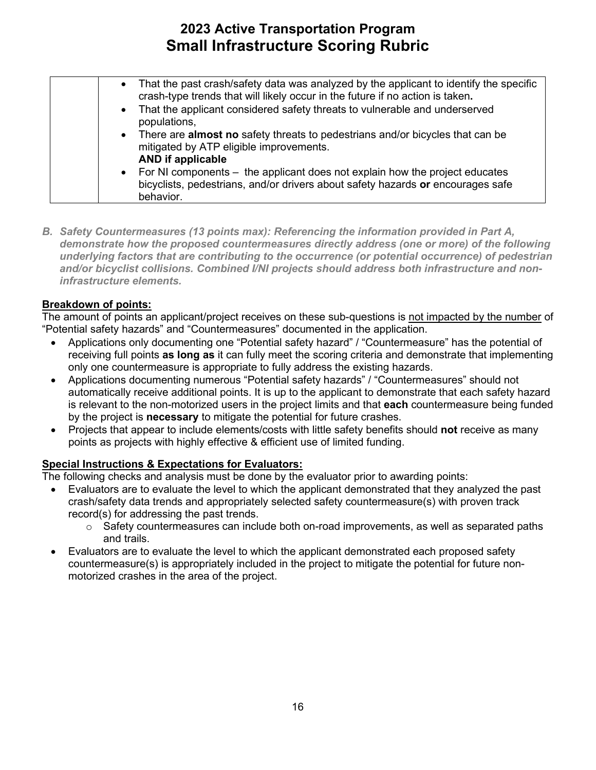| • That the past crash/safety data was analyzed by the applicant to identify the specific<br>crash-type trends that will likely occur in the future if no action is taken.<br>• That the applicant considered safety threats to vulnerable and underserved<br>populations, |
|---------------------------------------------------------------------------------------------------------------------------------------------------------------------------------------------------------------------------------------------------------------------------|
| • There are <b>almost no</b> safety threats to pedestrians and/or bicycles that can be<br>mitigated by ATP eligible improvements.<br><b>AND if applicable</b>                                                                                                             |
| • For NI components – the applicant does not explain how the project educates<br>bicyclists, pedestrians, and/or drivers about safety hazards or encourages safe<br>behavior.                                                                                             |

 *demonstrate how the proposed countermeasures directly address (one or more) of the following B. Safety Countermeasures (13 points max): Referencing the information provided in Part A, underlying factors that are contributing to the occurrence (or potential occurrence) of pedestrian and/or bicyclist collisions. Combined I/NI projects should address both infrastructure and noninfrastructure elements.* 

### **Breakdown of points:**

The amount of points an applicant/project receives on these sub-questions is not impacted by the number of "Potential safety hazards" and "Countermeasures" documented in the application.

- Applications only documenting one "Potential safety hazard" / "Countermeasure" has the potential of receiving full points **as long as** it can fully meet the scoring criteria and demonstrate that implementing only one countermeasure is appropriate to fully address the existing hazards.
- • Applications documenting numerous "Potential safety hazards" / "Countermeasures" should not automatically receive additional points. It is up to the applicant to demonstrate that each safety hazard by the project is **necessary** to mitigate the potential for future crashes. is relevant to the non-motorized users in the project limits and that **each** countermeasure being funded
- Projects that appear to include elements/costs with little safety benefits should **not** receive as many points as projects with highly effective & efficient use of limited funding.

### **Special Instructions & Expectations for Evaluators:**

- Evaluators are to evaluate the level to which the applicant demonstrated that they analyzed the past crash/safety data trends and appropriately selected safety countermeasure(s) with proven track record(s) for addressing the past trends.
	- $\circ$  Safety countermeasures can include both on-road improvements, as well as separated paths and trails.
- Evaluators are to evaluate the level to which the applicant demonstrated each proposed safety countermeasure(s) is appropriately included in the project to mitigate the potential for future nonmotorized crashes in the area of the project.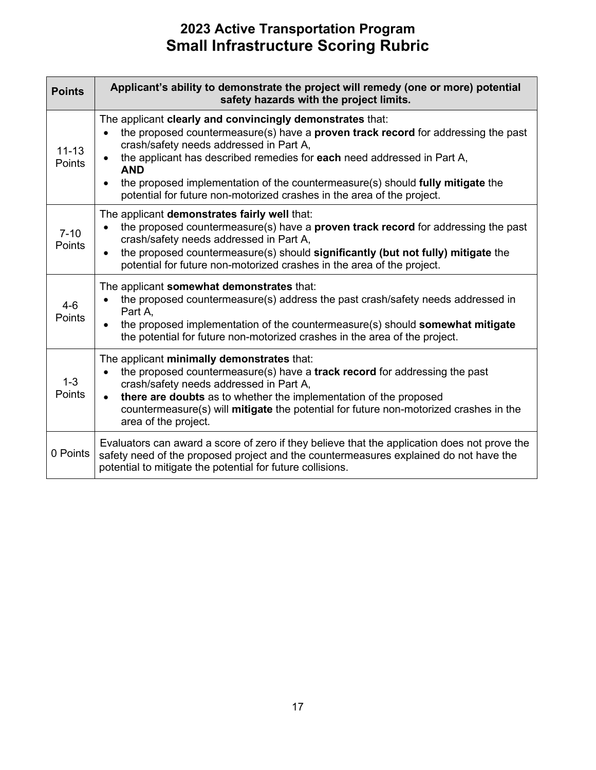| <b>Points</b>              | Applicant's ability to demonstrate the project will remedy (one or more) potential<br>safety hazards with the project limits.                                                                                                                                                                                                                                                                                                                                                   |
|----------------------------|---------------------------------------------------------------------------------------------------------------------------------------------------------------------------------------------------------------------------------------------------------------------------------------------------------------------------------------------------------------------------------------------------------------------------------------------------------------------------------|
| $11 - 13$<br><b>Points</b> | The applicant clearly and convincingly demonstrates that:<br>the proposed countermeasure(s) have a <b>proven track record</b> for addressing the past<br>crash/safety needs addressed in Part A,<br>the applicant has described remedies for each need addressed in Part A,<br>$\bullet$<br><b>AND</b><br>the proposed implementation of the countermeasure(s) should fully mitigate the<br>$\bullet$<br>potential for future non-motorized crashes in the area of the project. |
| $7 - 10$<br>Points         | The applicant demonstrates fairly well that:<br>the proposed countermeasure(s) have a proven track record for addressing the past<br>crash/safety needs addressed in Part A,<br>the proposed countermeasure(s) should significantly (but not fully) mitigate the<br>$\bullet$<br>potential for future non-motorized crashes in the area of the project.                                                                                                                         |
| $4-6$<br><b>Points</b>     | The applicant somewhat demonstrates that:<br>the proposed countermeasure(s) address the past crash/safety needs addressed in<br>Part A,<br>the proposed implementation of the countermeasure(s) should somewhat mitigate<br>$\bullet$<br>the potential for future non-motorized crashes in the area of the project.                                                                                                                                                             |
| $1 - 3$<br><b>Points</b>   | The applicant minimally demonstrates that:<br>the proposed countermeasure(s) have a track record for addressing the past<br>$\bullet$<br>crash/safety needs addressed in Part A,<br>there are doubts as to whether the implementation of the proposed<br>$\bullet$<br>countermeasure(s) will <b>mitigate</b> the potential for future non-motorized crashes in the<br>area of the project.                                                                                      |
| 0 Points                   | Evaluators can award a score of zero if they believe that the application does not prove the<br>safety need of the proposed project and the countermeasures explained do not have the<br>potential to mitigate the potential for future collisions.                                                                                                                                                                                                                             |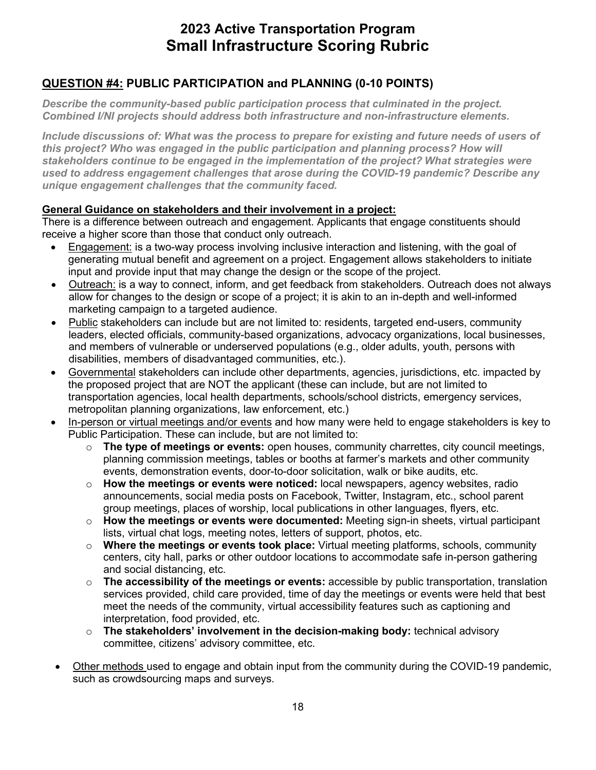### **QUESTION #4: PUBLIC PARTICIPATION and PLANNING (0-10 POINTS)**

*Describe the community-based public participation process that culminated in the project. Combined I/NI projects should address both infrastructure and non-infrastructure elements.* 

 *this project? Who was engaged in the public participation and planning process? How will Include discussions of: What was the process to prepare for existing and future needs of users of stakeholders continue to be engaged in the implementation of the project? What strategies were used to address engagement challenges that arose during the COVID-19 pandemic? Describe any unique engagement challenges that the community faced.* 

#### **General Guidance on stakeholders and their involvement in a project:**

 There is a difference between outreach and engagement. Applicants that engage constituents should receive a higher score than those that conduct only outreach.

- input and provide input that may change the design or the scope of the project. • Engagement: is a two-way process involving inclusive interaction and listening, with the goal of generating mutual benefit and agreement on a project. Engagement allows stakeholders to initiate
- Outreach: is a way to connect, inform, and get feedback from stakeholders. Outreach does not always allow for changes to the design or scope of a project; it is akin to an in-depth and well-informed marketing campaign to a targeted audience.
- $\bullet$ • Public stakeholders can include but are not limited to: residents, targeted end-users, community leaders, elected officials, community-based organizations, advocacy organizations, local businesses, and members of vulnerable or underserved populations (e.g., older adults, youth, persons with disabilities, members of disadvantaged communities, etc.).
- • Governmental stakeholders can include other departments, agencies, jurisdictions, etc. impacted by metropolitan planning organizations, law enforcement, etc.) the proposed project that are NOT the applicant (these can include, but are not limited to transportation agencies, local health departments, schools/school districts, emergency services,
- In-person or virtual meetings and/or events and how many were held to engage stakeholders is key to Public Participation. These can include, but are not limited to:
	- planning commission meetings, tables or booths at farmer's markets and other community events, demonstration events, door-to-door solicitation, walk or bike audits, etc. o **The type of meetings or events:** open houses, community charrettes, city council meetings,
	- group meetings, places of worship, local publications in other languages, flyers, etc. o **How the meetings or events were noticed:** local newspapers, agency websites, radio announcements, social media posts on Facebook, Twitter, Instagram, etc., school parent
	- o **How the meetings or events were documented:** Meeting sign-in sheets, virtual participant lists, virtual chat logs, meeting notes, letters of support, photos, etc.
	- and social distancing, etc. o **Where the meetings or events took place:** Virtual meeting platforms, schools, community centers, city hall, parks or other outdoor locations to accommodate safe in-person gathering
	- services provided, child care provided, time of day the meetings or events were held that best o **The accessibility of the meetings or events:** accessible by public transportation, translation meet the needs of the community, virtual accessibility features such as captioning and interpretation, food provided, etc.
	- o **The stakeholders' involvement in the decision-making body:** technical advisory committee, citizens' advisory committee, etc.
- Other methods used to engage and obtain input from the community during the COVID-19 pandemic, such as crowdsourcing maps and surveys.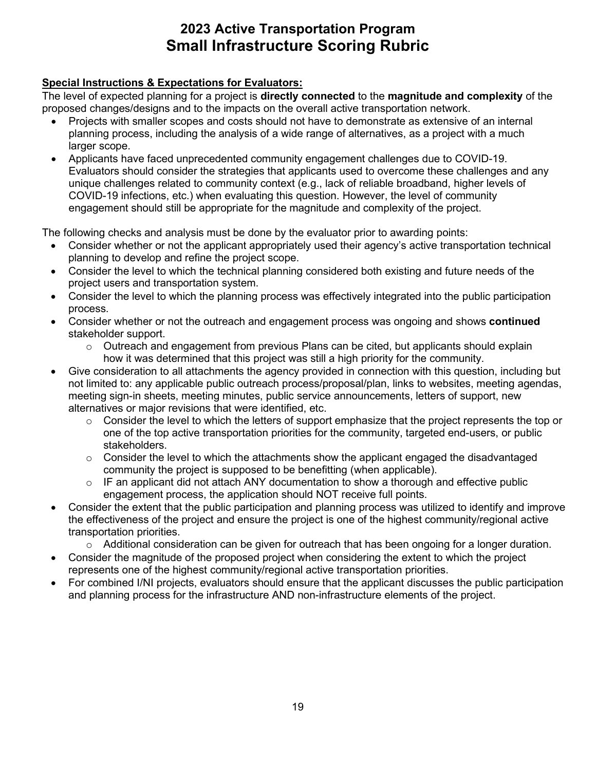### **Special Instructions & Expectations for Evaluators:**

The level of expected planning for a project is **directly connected** to the **magnitude and complexity** of the proposed changes/designs and to the impacts on the overall active transportation network.

- planning process, including the analysis of a wide range of alternatives, as a project with a much • Projects with smaller scopes and costs should not have to demonstrate as extensive of an internal larger scope.
- engagement should still be appropriate for the magnitude and complexity of the project. • Applicants have faced unprecedented community engagement challenges due to COVID-19. Evaluators should consider the strategies that applicants used to overcome these challenges and any unique challenges related to community context (e.g., lack of reliable broadband, higher levels of COVID-19 infections, etc.) when evaluating this question. However, the level of community

- Consider whether or not the applicant appropriately used their agency's active transportation technical planning to develop and refine the project scope.
- Consider the level to which the technical planning considered both existing and future needs of the project users and transportation system.
- Consider the level to which the planning process was effectively integrated into the public participation process.
- Consider whether or not the outreach and engagement process was ongoing and shows **continued**  stakeholder support.
	- $\circ$  Outreach and engagement from previous Plans can be cited, but applicants should explain how it was determined that this project was still a high priority for the community.
- • Give consideration to all attachments the agency provided in connection with this question, including but alternatives or major revisions that were identified, etc. not limited to: any applicable public outreach process/proposal/plan, links to websites, meeting agendas, meeting sign-in sheets, meeting minutes, public service announcements, letters of support, new
	- $\circ$  Consider the level to which the letters of support emphasize that the project represents the top or one of the top active transportation priorities for the community, targeted end-users, or public stakeholders.
	- $\circ$  Consider the level to which the attachments show the applicant engaged the disadvantaged community the project is supposed to be benefitting (when applicable).
	- o IF an applicant did not attach ANY documentation to show a thorough and effective public engagement process, the application should NOT receive full points.
- Consider the extent that the public participation and planning process was utilized to identify and improve the effectiveness of the project and ensure the project is one of the highest community/regional active transportation priorities.
	- o Additional consideration can be given for outreach that has been ongoing for a longer duration.
- Consider the magnitude of the proposed project when considering the extent to which the project represents one of the highest community/regional active transportation priorities.
- For combined I/NI projects, evaluators should ensure that the applicant discusses the public participation and planning process for the infrastructure AND non-infrastructure elements of the project.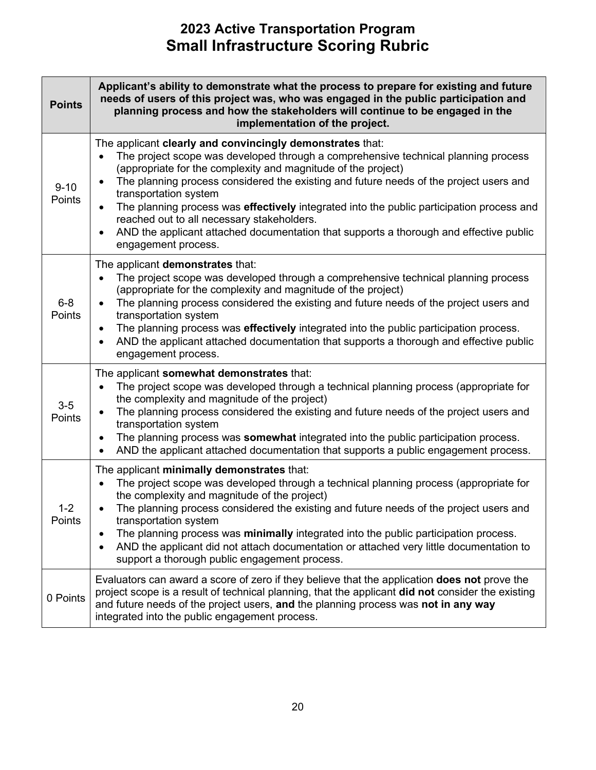| <b>Points</b>      | Applicant's ability to demonstrate what the process to prepare for existing and future<br>needs of users of this project was, who was engaged in the public participation and<br>planning process and how the stakeholders will continue to be engaged in the<br>implementation of the project.                                                                                                                                                                                                                                                                                                              |  |
|--------------------|--------------------------------------------------------------------------------------------------------------------------------------------------------------------------------------------------------------------------------------------------------------------------------------------------------------------------------------------------------------------------------------------------------------------------------------------------------------------------------------------------------------------------------------------------------------------------------------------------------------|--|
| $9 - 10$<br>Points | The applicant clearly and convincingly demonstrates that:<br>The project scope was developed through a comprehensive technical planning process<br>(appropriate for the complexity and magnitude of the project)<br>The planning process considered the existing and future needs of the project users and<br>$\bullet$<br>transportation system<br>The planning process was effectively integrated into the public participation process and<br>reached out to all necessary stakeholders.<br>AND the applicant attached documentation that supports a thorough and effective public<br>engagement process. |  |
| $6 - 8$<br>Points  | The applicant demonstrates that:<br>The project scope was developed through a comprehensive technical planning process<br>(appropriate for the complexity and magnitude of the project)<br>The planning process considered the existing and future needs of the project users and<br>$\bullet$<br>transportation system<br>The planning process was effectively integrated into the public participation process.<br>AND the applicant attached documentation that supports a thorough and effective public<br>engagement process.                                                                           |  |
| $3-5$<br>Points    | The applicant somewhat demonstrates that:<br>The project scope was developed through a technical planning process (appropriate for<br>the complexity and magnitude of the project)<br>The planning process considered the existing and future needs of the project users and<br>transportation system<br>The planning process was somewhat integrated into the public participation process.<br>AND the applicant attached documentation that supports a public engagement process.                                                                                                                          |  |
| $1 - 2$<br>Points  | The applicant minimally demonstrates that:<br>The project scope was developed through a technical planning process (appropriate for<br>the complexity and magnitude of the project)<br>The planning process considered the existing and future needs of the project users and<br>transportation system<br>The planning process was minimally integrated into the public participation process.<br>AND the applicant did not attach documentation or attached very little documentation to<br>support a thorough public engagement process.                                                                   |  |
| 0 Points           | Evaluators can award a score of zero if they believe that the application <b>does not</b> prove the<br>project scope is a result of technical planning, that the applicant did not consider the existing<br>and future needs of the project users, and the planning process was not in any way<br>integrated into the public engagement process.                                                                                                                                                                                                                                                             |  |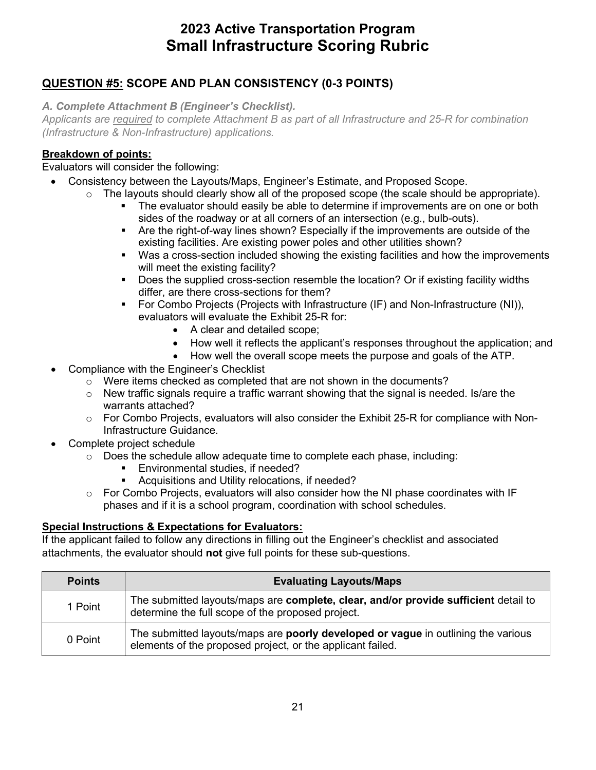### **QUESTION #5: SCOPE AND PLAN CONSISTENCY (0-3 POINTS)**

*A. Complete Attachment B (Engineer's Checklist).* 

*Applicants are required to complete Attachment B as part of all Infrastructure and 25-R for combination (Infrastructure & Non-Infrastructure) applications.* 

### **Breakdown of points:**

### Evaluators will consider the following:

- Consistency between the Layouts/Maps, Engineer's Estimate, and Proposed Scope.
	- $\circ$  The layouts should clearly show all of the proposed scope (the scale should be appropriate).
		- The evaluator should easily be able to determine if improvements are on one or both sides of the roadway or at all corners of an intersection (e.g., bulb-outs).
		- Are the right-of-way lines shown? Especially if the improvements are outside of the existing facilities. Are existing power poles and other utilities shown?
		- Was a cross-section included showing the existing facilities and how the improvements will meet the existing facility?
		- Does the supplied cross-section resemble the location? Or if existing facility widths differ, are there cross-sections for them?
		- evaluators will evaluate the Exhibit 25-R for: For Combo Projects (Projects with Infrastructure (IF) and Non-Infrastructure (NI)),
			- A clear and detailed scope;
			- How well it reflects the applicant's responses throughout the application; and
			- How well the overall scope meets the purpose and goals of the ATP.
- Compliance with the Engineer's Checklist
	- o Were items checked as completed that are not shown in the documents?
	- $\circ$  New traffic signals require a traffic warrant showing that the signal is needed. Is/are the warrants attached?
	- $\circ$  For Combo Projects, evaluators will also consider the Exhibit 25-R for compliance with Non-Infrastructure Guidance.
- Complete project schedule
	- $\circ$  Does the schedule allow adequate time to complete each phase, including:
		- Environmental studies, if needed?
		- **Acquisitions and Utility relocations, if needed?**
	- $\circ$  For Combo Projects, evaluators will also consider how the NI phase coordinates with IF phases and if it is a school program, coordination with school schedules.

### **Special Instructions & Expectations for Evaluators:**

If the applicant failed to follow any directions in filling out the Engineer's checklist and associated attachments, the evaluator should **not** give full points for these sub-questions.

| <b>Points</b> | <b>Evaluating Layouts/Maps</b>                                                                                                                  |
|---------------|-------------------------------------------------------------------------------------------------------------------------------------------------|
| 1 Point       | The submitted layouts/maps are complete, clear, and/or provide sufficient detail to<br>determine the full scope of the proposed project.        |
| 0 Point       | The submitted layouts/maps are poorly developed or vague in outlining the various<br>elements of the proposed project, or the applicant failed. |